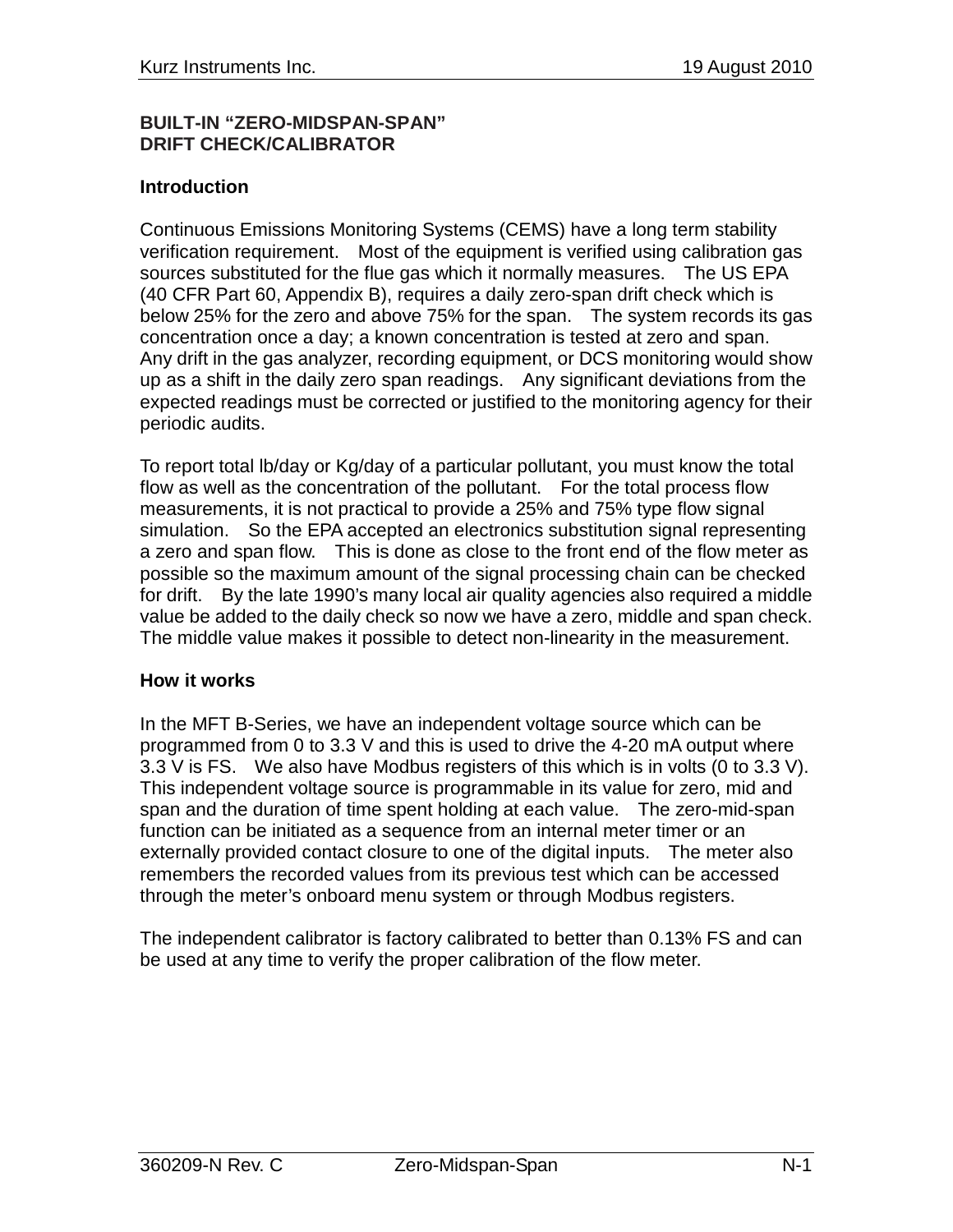#### **BUILT-IN "ZERO-MIDSPAN-SPAN" DRIFT CHECK/CALIBRATOR**

#### **Introduction**

Continuous Emissions Monitoring Systems (CEMS) have a long term stability verification requirement. Most of the equipment is verified using calibration gas sources substituted for the flue gas which it normally measures. The US EPA (40 CFR Part 60, Appendix B), requires a daily zero-span drift check which is below 25% for the zero and above 75% for the span. The system records its gas concentration once a day; a known concentration is tested at zero and span. Any drift in the gas analyzer, recording equipment, or DCS monitoring would show up as a shift in the daily zero span readings. Any significant deviations from the expected readings must be corrected or justified to the monitoring agency for their periodic audits.

To report total lb/day or Kg/day of a particular pollutant, you must know the total flow as well as the concentration of the pollutant. For the total process flow measurements, it is not practical to provide a 25% and 75% type flow signal simulation. So the EPA accepted an electronics substitution signal representing a zero and span flow. This is done as close to the front end of the flow meter as possible so the maximum amount of the signal processing chain can be checked for drift. By the late 1990's many local air quality agencies also required a middle value be added to the daily check so now we have a zero, middle and span check. The middle value makes it possible to detect non-linearity in the measurement.

#### **How it works**

In the MFT B-Series, we have an independent voltage source which can be programmed from 0 to 3.3 V and this is used to drive the 4-20 mA output where 3.3 V is FS. We also have Modbus registers of this which is in volts (0 to 3.3 V). This independent voltage source is programmable in its value for zero, mid and span and the duration of time spent holding at each value. The zero-mid-span function can be initiated as a sequence from an internal meter timer or an externally provided contact closure to one of the digital inputs. The meter also remembers the recorded values from its previous test which can be accessed through the meter's onboard menu system or through Modbus registers.

The independent calibrator is factory calibrated to better than 0.13% FS and can be used at any time to verify the proper calibration of the flow meter.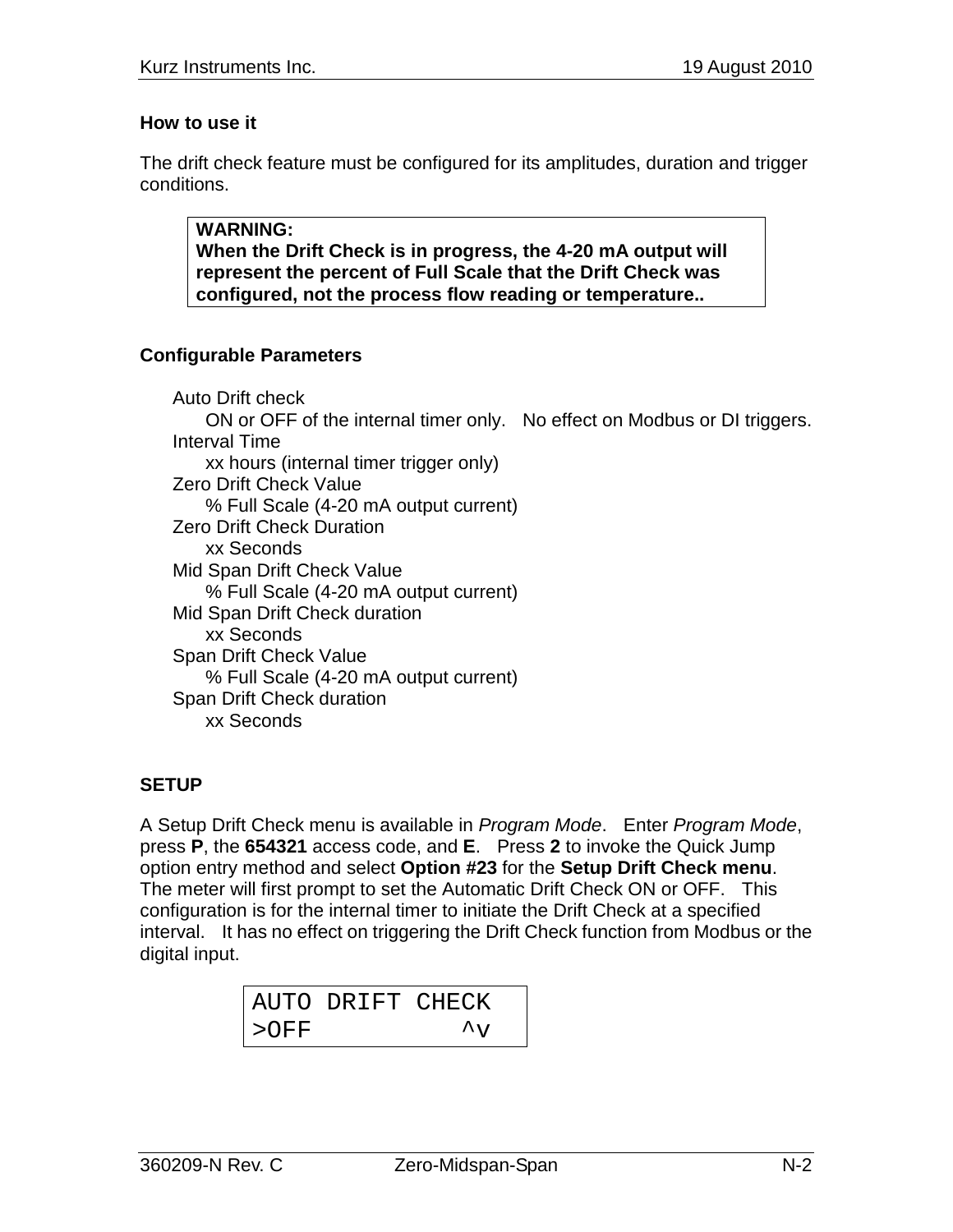### **How to use it**

The drift check feature must be configured for its amplitudes, duration and trigger conditions.

**WARNING: When the Drift Check is in progress, the 4-20 mA output will represent the percent of Full Scale that the Drift Check was configured, not the process flow reading or temperature..**

# **Configurable Parameters**

Auto Drift check ON or OFF of the internal timer only. No effect on Modbus or DI triggers. Interval Time xx hours (internal timer trigger only) Zero Drift Check Value % Full Scale (4-20 mA output current) Zero Drift Check Duration xx Seconds Mid Span Drift Check Value % Full Scale (4-20 mA output current) Mid Span Drift Check duration xx Seconds Span Drift Check Value % Full Scale (4-20 mA output current) Span Drift Check duration xx Seconds

# **SETUP**

A Setup Drift Check menu is available in *Program Mode*. Enter *Program Mode*, press **P**, the **654321** access code, and **E**. Press **2** to invoke the Quick Jump option entry method and select **Option #23** for the **Setup Drift Check menu**. The meter will first prompt to set the Automatic Drift Check ON or OFF. This configuration is for the internal timer to initiate the Drift Check at a specified interval. It has no effect on triggering the Drift Check function from Modbus or the digital input.

|         | AUTO DRIFT CHECK |                          |  |
|---------|------------------|--------------------------|--|
| $>$ OFF |                  | $\mathcal{A}_{\tau\tau}$ |  |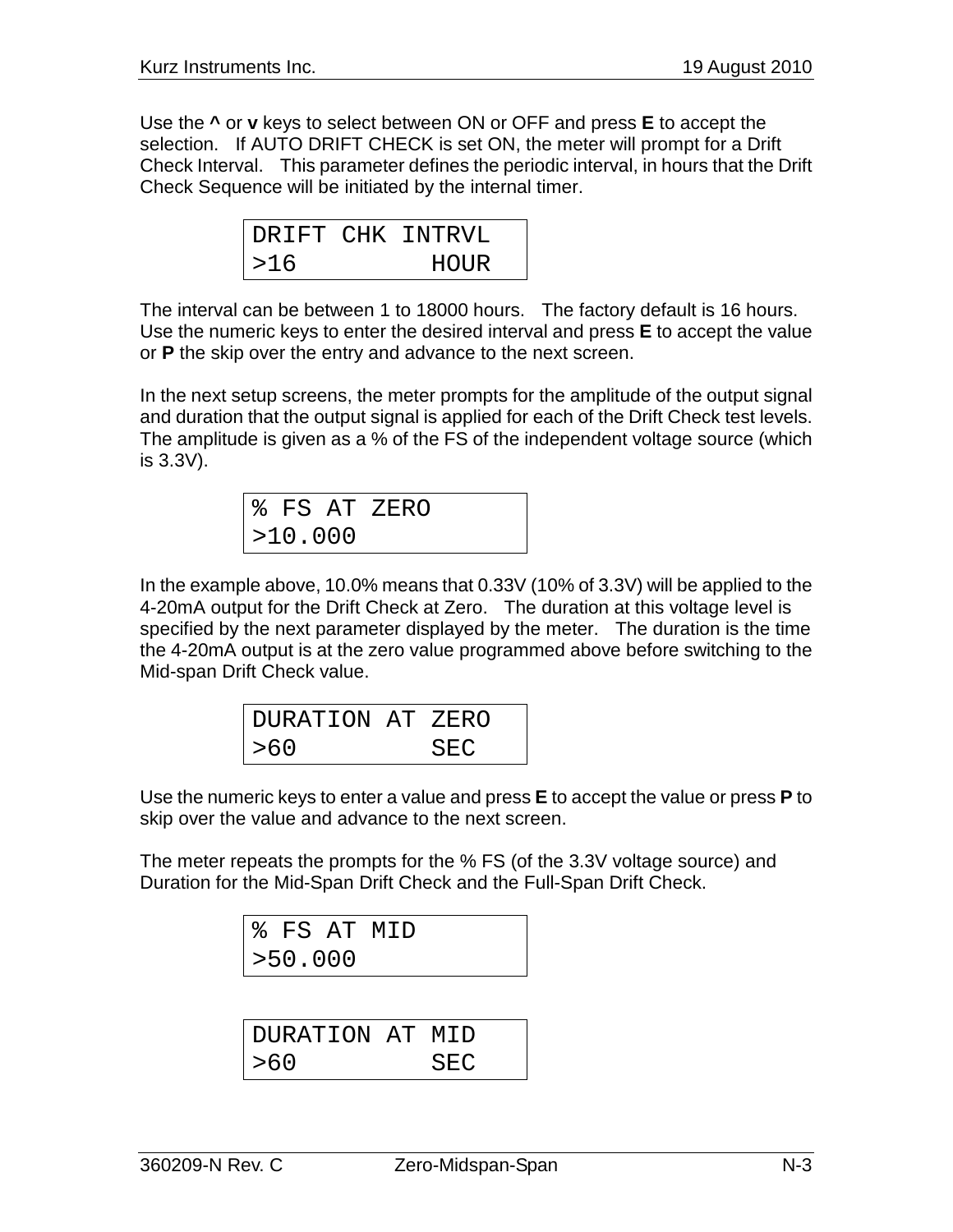Use the **^** or **v** keys to select between ON or OFF and press **E** to accept the selection. If AUTO DRIFT CHECK is set ON, the meter will prompt for a Drift Check Interval. This parameter defines the periodic interval, in hours that the Drift Check Sequence will be initiated by the internal timer.

|     | DRIFT CHK INTRVL |
|-----|------------------|
| >16 | <b>HOUR</b>      |

The interval can be between 1 to 18000 hours. The factory default is 16 hours. Use the numeric keys to enter the desired interval and press **E** to accept the value or **P** the skip over the entry and advance to the next screen.

In the next setup screens, the meter prompts for the amplitude of the output signal and duration that the output signal is applied for each of the Drift Check test levels. The amplitude is given as a % of the FS of the independent voltage source (which is 3.3V).

|         | % FS AT ZERO |
|---------|--------------|
| >10.000 |              |

In the example above, 10.0% means that 0.33V (10% of 3.3V) will be applied to the 4-20mA output for the Drift Check at Zero. The duration at this voltage level is specified by the next parameter displayed by the meter. The duration is the time the 4-20mA output is at the zero value programmed above before switching to the Mid-span Drift Check value.

| DURATION AT ZERO |     |
|------------------|-----|
| >60              | SEC |

Use the numeric keys to enter a value and press **E** to accept the value or press **P** to skip over the value and advance to the next screen.

The meter repeats the prompts for the % FS (of the 3.3V voltage source) and Duration for the Mid-Span Drift Check and the Full-Span Drift Check.

|         | % FS AT MID |  |
|---------|-------------|--|
| >50.000 |             |  |

| DURATION AT MID |     |
|-----------------|-----|
| >60             | SEC |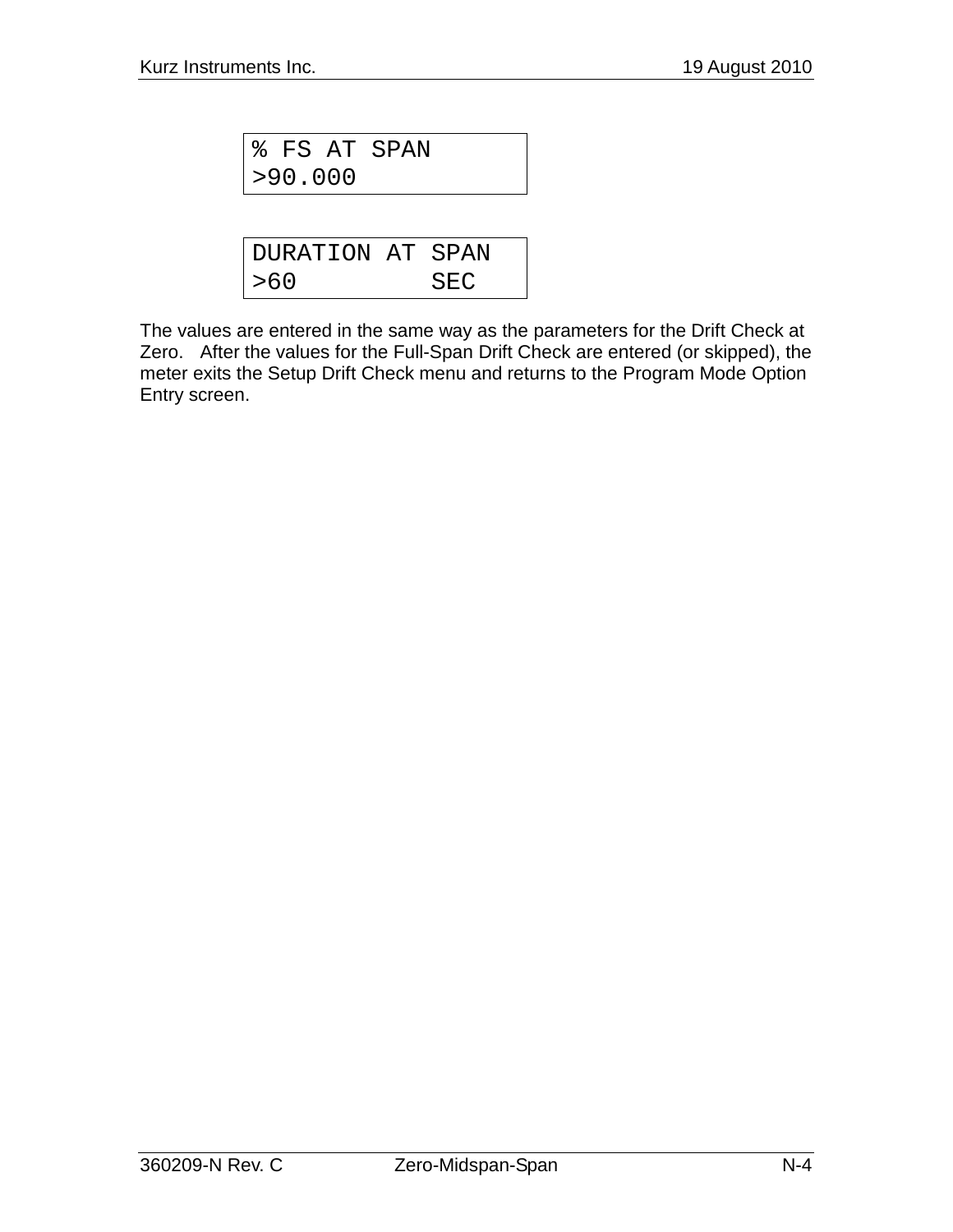|         | % FS AT SPAN |  |
|---------|--------------|--|
| >90.000 |              |  |

| DURATION AT SPAN |     |
|------------------|-----|
| >60              | SEC |

The values are entered in the same way as the parameters for the Drift Check at Zero. After the values for the Full-Span Drift Check are entered (or skipped), the meter exits the Setup Drift Check menu and returns to the Program Mode Option Entry screen.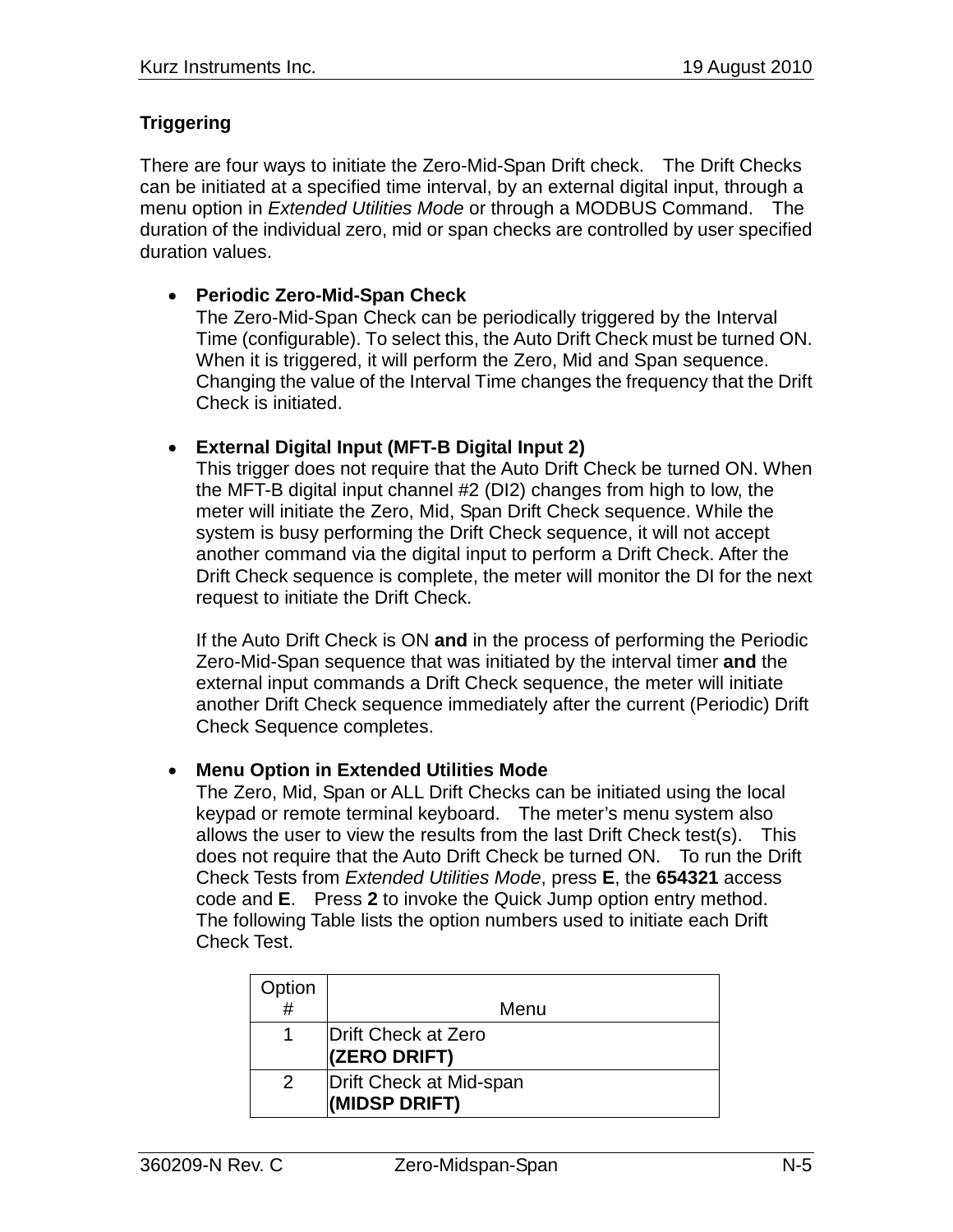# **Triggering**

There are four ways to initiate the Zero-Mid-Span Drift check. The Drift Checks can be initiated at a specified time interval, by an external digital input, through a menu option in *Extended Utilities Mode* or through a MODBUS Command. The duration of the individual zero, mid or span checks are controlled by user specified duration values.

### • **Periodic Zero-Mid-Span Check**

The Zero-Mid-Span Check can be periodically triggered by the Interval Time (configurable). To select this, the Auto Drift Check must be turned ON. When it is triggered, it will perform the Zero, Mid and Span sequence. Changing the value of the Interval Time changes the frequency that the Drift Check is initiated.

### • **External Digital Input (MFT-B Digital Input 2)**

This trigger does not require that the Auto Drift Check be turned ON. When the MFT-B digital input channel #2 (DI2) changes from high to low, the meter will initiate the Zero, Mid, Span Drift Check sequence. While the system is busy performing the Drift Check sequence, it will not accept another command via the digital input to perform a Drift Check. After the Drift Check sequence is complete, the meter will monitor the DI for the next request to initiate the Drift Check.

If the Auto Drift Check is ON **and** in the process of performing the Periodic Zero-Mid-Span sequence that was initiated by the interval timer **and** the external input commands a Drift Check sequence, the meter will initiate another Drift Check sequence immediately after the current (Periodic) Drift Check Sequence completes.

### • **Menu Option in Extended Utilities Mode**

The Zero, Mid, Span or ALL Drift Checks can be initiated using the local keypad or remote terminal keyboard. The meter's menu system also allows the user to view the results from the last Drift Check test(s). This does not require that the Auto Drift Check be turned ON. To run the Drift Check Tests from *Extended Utilities Mode*, press **E**, the **654321** access code and **E**. Press **2** to invoke the Quick Jump option entry method. The following Table lists the option numbers used to initiate each Drift Check Test.

| Option        |                                          |
|---------------|------------------------------------------|
| #             | Menu                                     |
|               | Drift Check at Zero<br>(ZERO DRIFT)      |
| $\mathcal{P}$ | Drift Check at Mid-span<br>(MIDSP DRIFT) |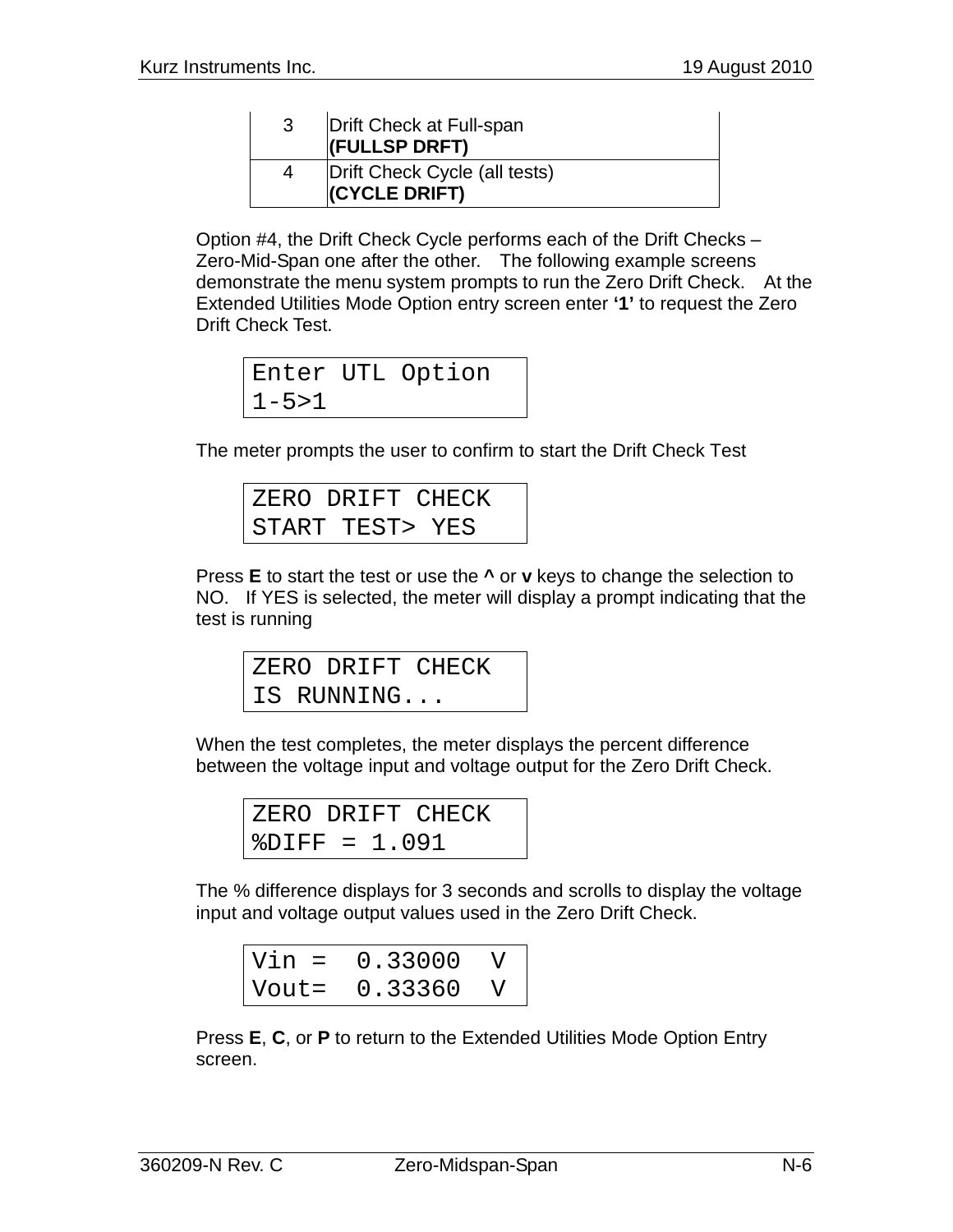| 3 | Drift Check at Full-span<br>(FULLSP DRFT)      |
|---|------------------------------------------------|
|   | Drift Check Cycle (all tests)<br>(CYCLE DRIFT) |

Option #4, the Drift Check Cycle performs each of the Drift Checks – Zero-Mid-Span one after the other. The following example screens demonstrate the menu system prompts to run the Zero Drift Check. At the Extended Utilities Mode Option entry screen enter **'1'** to request the Zero Drift Check Test.

Enter UTL Option  $1 - 5 > 1$ 

The meter prompts the user to confirm to start the Drift Check Test

| ZERO DRIFT CHECK |  |
|------------------|--|
| START TEST> YES  |  |

Press **E** to start the test or use the **^** or **v** keys to change the selection to NO. If YES is selected, the meter will display a prompt indicating that the test is running

|  | ZERO DRIFT CHECK |  |
|--|------------------|--|
|  | IS RUNNING       |  |

When the test completes, the meter displays the percent difference between the voltage input and voltage output for the Zero Drift Check.

|                  |  | ZERO DRIFT CHECK |  |
|------------------|--|------------------|--|
| $8$ DIFF = 1.091 |  |                  |  |

The % difference displays for 3 seconds and scrolls to display the voltage input and voltage output values used in the Zero Drift Check.

| $Vin =$ | 0.33000 |  |
|---------|---------|--|
| Vout=   | 0.33360 |  |

Press **E**, **C**, or **P** to return to the Extended Utilities Mode Option Entry screen.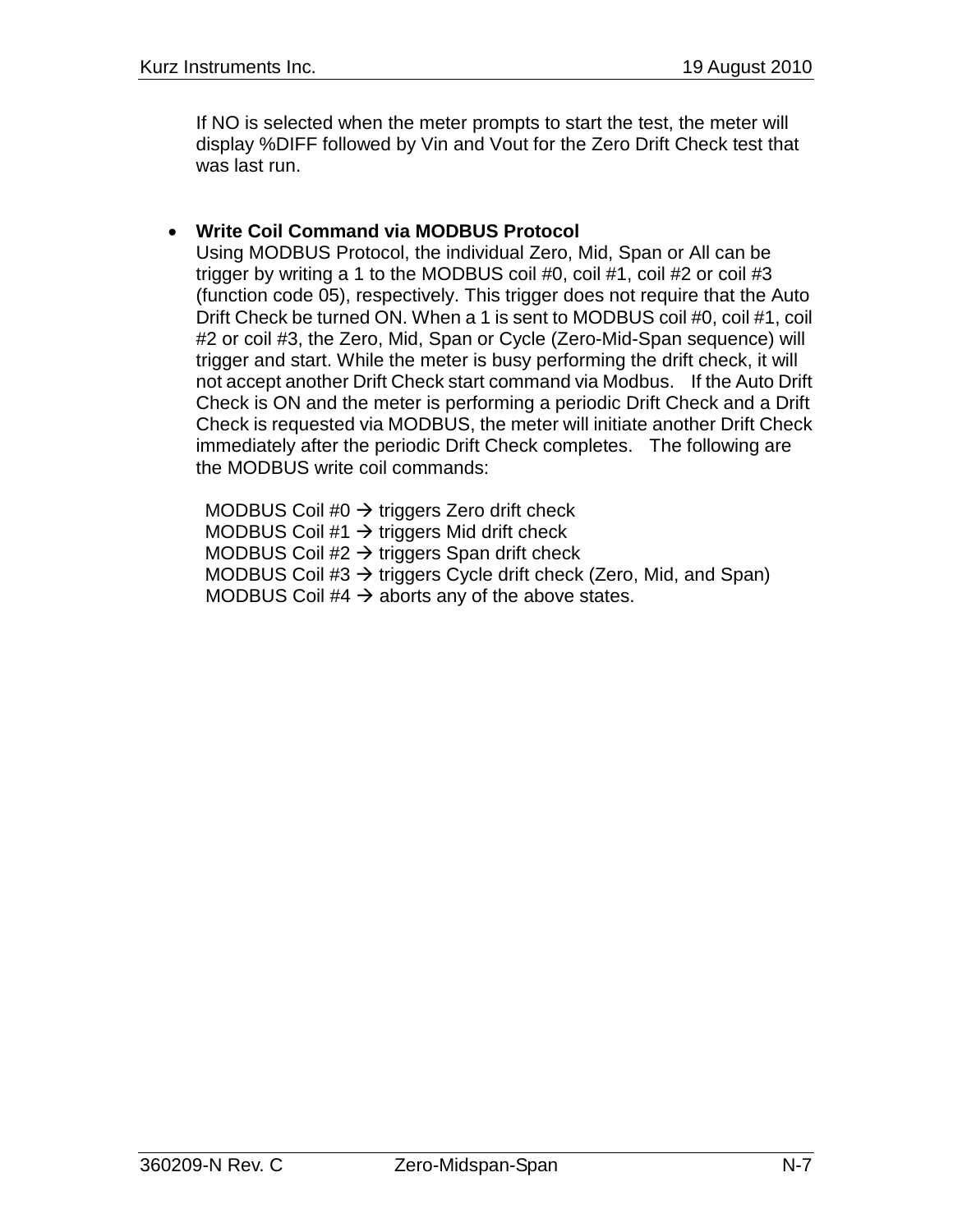If NO is selected when the meter prompts to start the test, the meter will display %DIFF followed by Vin and Vout for the Zero Drift Check test that was last run.

# • **Write Coil Command via MODBUS Protocol**

Using MODBUS Protocol, the individual Zero, Mid, Span or All can be trigger by writing a 1 to the MODBUS coil #0, coil #1, coil #2 or coil #3 (function code 05), respectively. This trigger does not require that the Auto Drift Check be turned ON. When a 1 is sent to MODBUS coil #0, coil #1, coil #2 or coil #3, the Zero, Mid, Span or Cycle (Zero-Mid-Span sequence) will trigger and start. While the meter is busy performing the drift check, it will not accept another Drift Check start command via Modbus. If the Auto Drift Check is ON and the meter is performing a periodic Drift Check and a Drift Check is requested via MODBUS, the meter will initiate another Drift Check immediately after the periodic Drift Check completes. The following are the MODBUS write coil commands:

MODBUS Coil #0  $\rightarrow$  triggers Zero drift check MODBUS Coil  $#1 \rightarrow$  triggers Mid drift check MODBUS Coil  $#2 \rightarrow$  triggers Span drift check MODBUS Coil  $#3 \rightarrow$  triggers Cycle drift check (Zero, Mid, and Span) MODBUS Coil #4  $\rightarrow$  aborts any of the above states.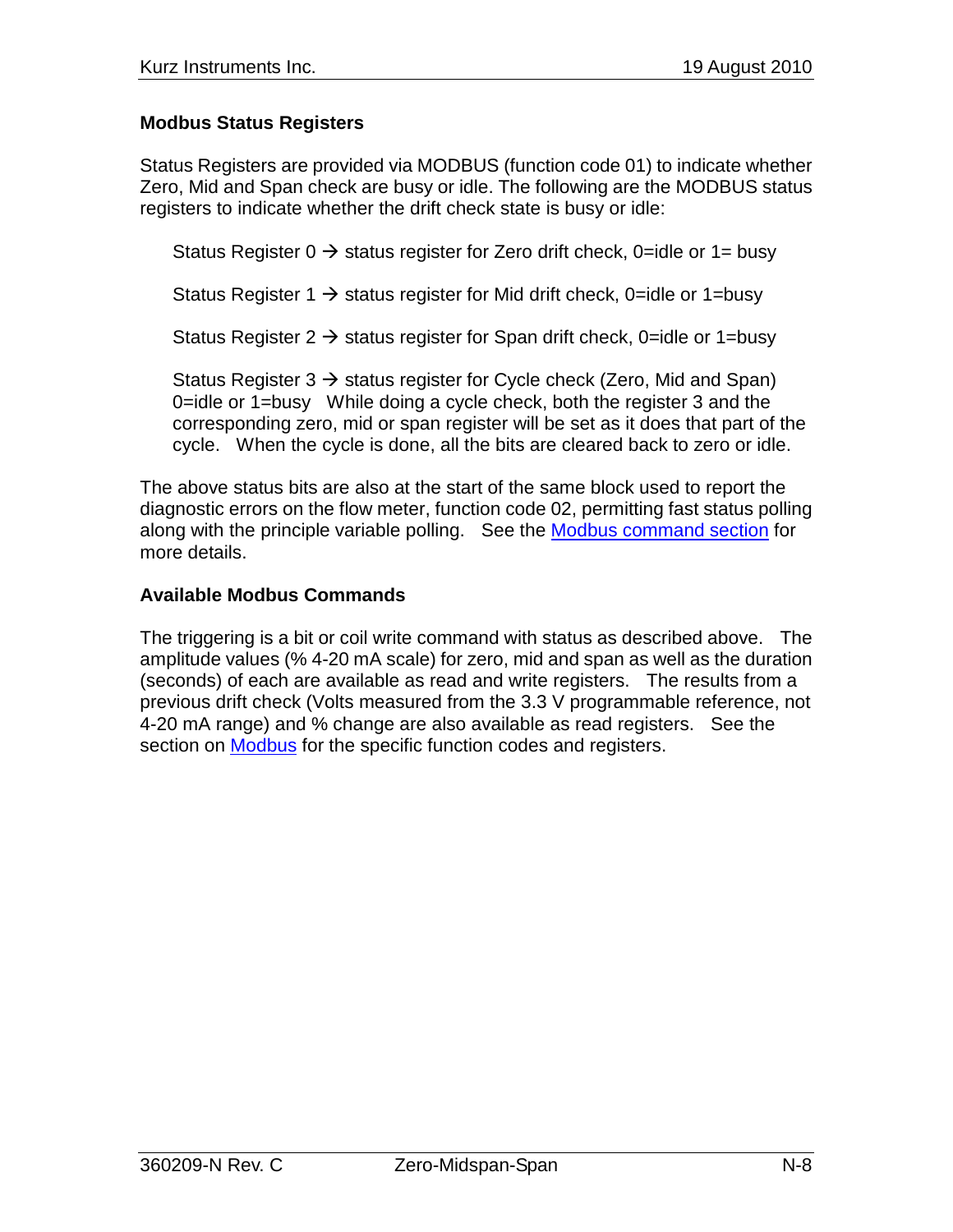# **Modbus Status Registers**

Status Registers are provided via MODBUS (function code 01) to indicate whether Zero, Mid and Span check are busy or idle. The following are the MODBUS status registers to indicate whether the drift check state is busy or idle:

Status Register  $0 \rightarrow$  status register for Zero drift check, 0=idle or 1= busy

Status Register 1  $\rightarrow$  status register for Mid drift check, 0=idle or 1=busy

Status Register 2  $\rightarrow$  status register for Span drift check, 0=idle or 1=busy

Status Register 3  $\rightarrow$  status register for Cycle check (Zero, Mid and Span) 0=idle or 1=busy While doing a cycle check, both the register 3 and the corresponding zero, mid or span register will be set as it does that part of the cycle. When the cycle is done, all the bits are cleared back to zero or idle.

The above status bits are also at the start of the same block used to report the diagnostic errors on the flow meter, function code 02, permitting fast status polling along with the principle variable polling. See the Modbus command section for more details.

### **Available Modbus Commands**

The triggering is a bit or coil write command with status as described above. The amplitude values (% 4-20 mA scale) for zero, mid and span as well as the duration (seconds) of each are available as read and write registers. The results from a previous drift check (Volts measured from the 3.3 V programmable reference, not 4-20 mA range) and % change are also available as read registers. See the section on Modbus for the specific function codes and registers.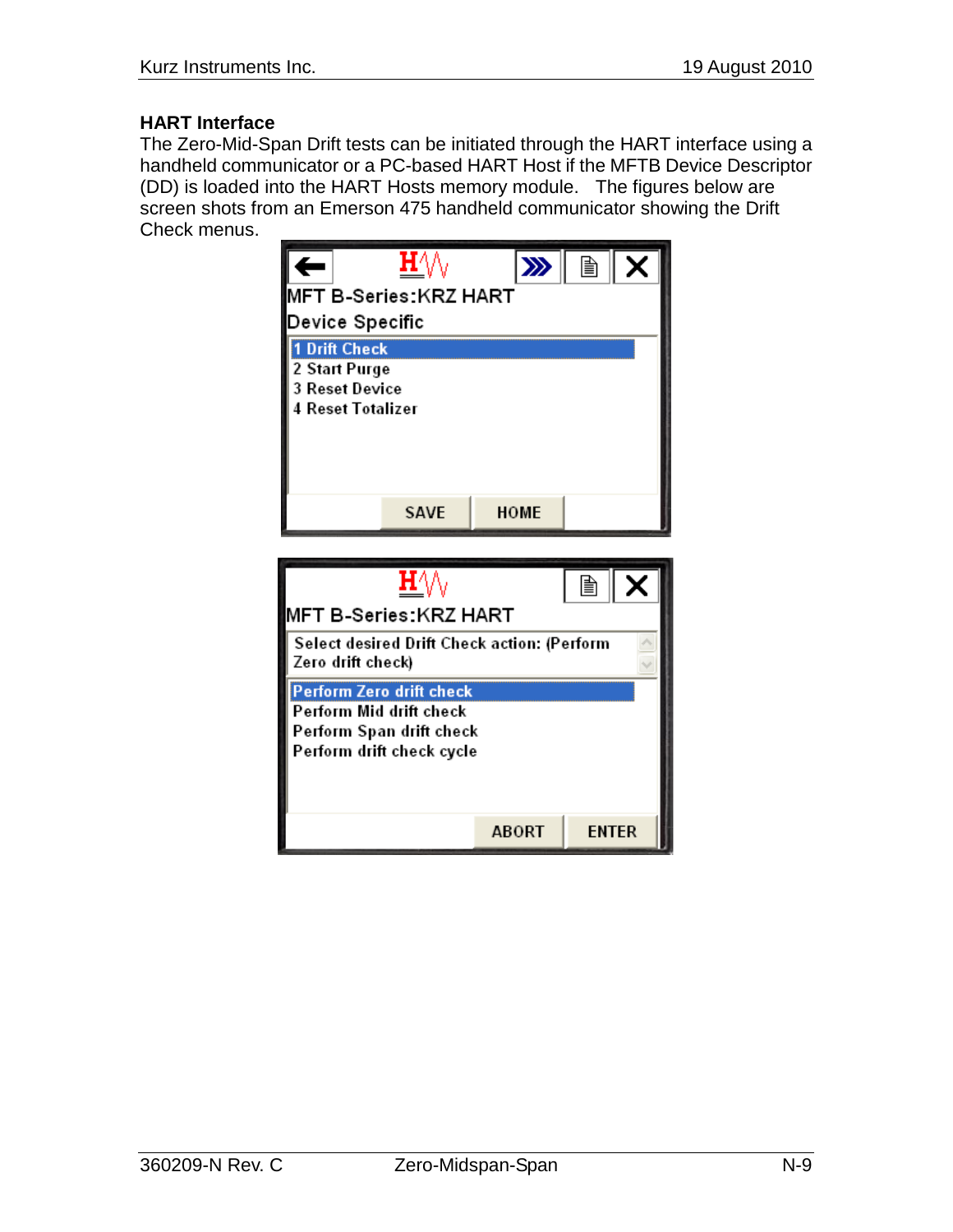### **HART Interface**

The Zero-Mid-Span Drift tests can be initiated through the HART interface using a handheld communicator or a PC-based HART Host if the MFTB Device Descriptor (DD) is loaded into the HART Hosts memory module. The figures below are screen shots from an Emerson 475 handheld communicator showing the Drift Check menus.

| ←                        | H′                                                    | $\gg$       | 圁 |  |  |  |
|--------------------------|-------------------------------------------------------|-------------|---|--|--|--|
| MFT B-Series:KRZ HART    |                                                       |             |   |  |  |  |
| Device Specific          |                                                       |             |   |  |  |  |
| <b>1 Drift Check</b>     |                                                       |             |   |  |  |  |
|                          | 2 Start Purge<br>3 Reset Device                       |             |   |  |  |  |
| <b>4 Reset Totalizer</b> |                                                       |             |   |  |  |  |
|                          |                                                       |             |   |  |  |  |
|                          |                                                       |             |   |  |  |  |
|                          |                                                       |             |   |  |  |  |
|                          | <b>SAVE</b>                                           | <b>HOME</b> |   |  |  |  |
|                          |                                                       |             |   |  |  |  |
|                          |                                                       |             |   |  |  |  |
|                          | ${\bf H}\setminus\!\!\setminus$                       |             | 噲 |  |  |  |
|                          | MFT B-Series:KRZ HART                                 |             |   |  |  |  |
|                          | Select desired Drift Check action: (Perform           |             |   |  |  |  |
| Zero drift check)        |                                                       |             |   |  |  |  |
|                          | Perform Zero drift check                              |             |   |  |  |  |
|                          | Perform Mid drift check                               |             |   |  |  |  |
|                          | Perform Span drift check<br>Perform drift check cycle |             |   |  |  |  |
|                          |                                                       |             |   |  |  |  |
|                          |                                                       |             |   |  |  |  |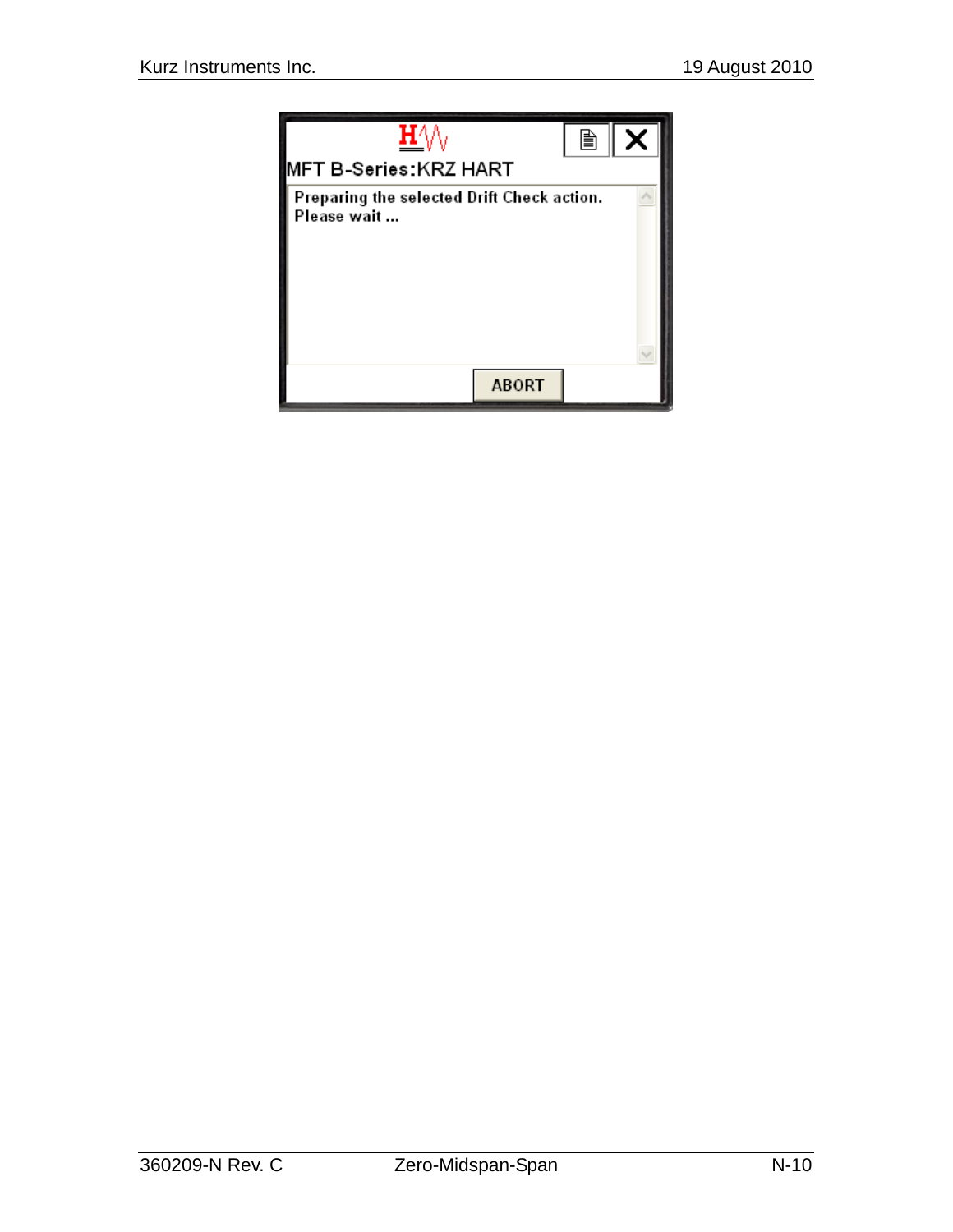